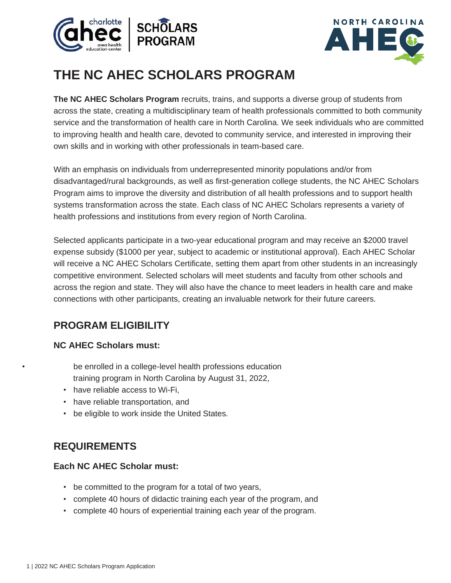



# **THE NC AHEC SCHOLARS PROGRAM**

**The NC AHEC Scholars Program** recruits, trains, and supports a diverse group of students from across the state, creating a multidisciplinary team of health professionals committed to both community service and the transformation of health care in North Carolina. We seek individuals who are committed to improving health and health care, devoted to community service, and interested in improving their own skills and in working with other professionals in team-based care.

With an emphasis on individuals from underrepresented minority populations and/or from disadvantaged/rural backgrounds, as well as first-generation college students, the NC AHEC Scholars Program aims to improve the diversity and distribution of all health professions and to support health systems transformation across the state. Each class of NC AHEC Scholars represents a variety of health professions and institutions from every region of North Carolina.

Selected applicants participate in a two-year educational program and may receive an \$2000 travel expense subsidy (\$1000 per year, subject to academic or institutional approval). Each AHEC Scholar will receive a NC AHEC Scholars Certificate, setting them apart from other students in an increasingly competitive environment. Selected scholars will meet students and faculty from other schools and across the region and state. They will also have the chance to meet leaders in health care and make connections with other participants, creating an invaluable network for their future careers.

## **PROGRAM ELIGIBILITY**

## **NC AHEC Scholars must:**

be enrolled in a college-level health professions education training program in North Carolina by August 31, 2022,

- have reliable access to Wi-Fi,
- have reliable transportation, and
- be eligible to work inside the United States.

## **REQUIREMENTS**

#### **Each NC AHEC Scholar must:**

- be committed to the program for a total of two years,
- complete 40 hours of didactic training each year of the program, and
- complete 40 hours of experiential training each year of the program.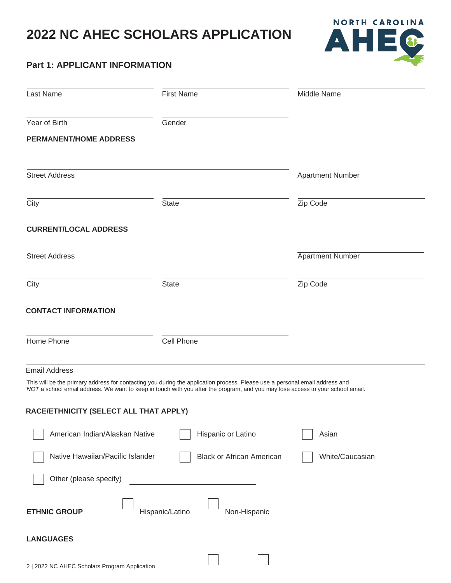

## **Part 1: APPLICANT INFORMATION**

| Last Name                              | <b>First Name</b>                                                                                                                                                                                                                                             | Middle Name             |
|----------------------------------------|---------------------------------------------------------------------------------------------------------------------------------------------------------------------------------------------------------------------------------------------------------------|-------------------------|
| Year of Birth                          | Gender                                                                                                                                                                                                                                                        |                         |
| <b>PERMANENT/HOME ADDRESS</b>          |                                                                                                                                                                                                                                                               |                         |
| <b>Street Address</b>                  |                                                                                                                                                                                                                                                               | <b>Apartment Number</b> |
| City                                   | <b>State</b>                                                                                                                                                                                                                                                  | Zip Code                |
| <b>CURRENT/LOCAL ADDRESS</b>           |                                                                                                                                                                                                                                                               |                         |
| <b>Street Address</b>                  |                                                                                                                                                                                                                                                               | <b>Apartment Number</b> |
| City                                   | <b>State</b>                                                                                                                                                                                                                                                  | Zip Code                |
| <b>CONTACT INFORMATION</b>             |                                                                                                                                                                                                                                                               |                         |
| Home Phone                             | Cell Phone                                                                                                                                                                                                                                                    |                         |
| <b>Email Address</b>                   |                                                                                                                                                                                                                                                               |                         |
|                                        | This will be the primary address for contacting you during the application process. Please use a personal email address and<br>NOT a school email address. We want to keep in touch with you after the program, and you may lose access to your school email. |                         |
| RACE/ETHNICITY (SELECT ALL THAT APPLY) |                                                                                                                                                                                                                                                               |                         |
| American Indian/Alaskan Native         | Hispanic or Latino                                                                                                                                                                                                                                            | Asian                   |
| Native Hawaiian/Pacific Islander       | <b>Black or African American</b>                                                                                                                                                                                                                              | White/Caucasian         |
| Other (please specify)                 |                                                                                                                                                                                                                                                               |                         |
| <b>ETHNIC GROUP</b>                    | Hispanic/Latino<br>Non-Hispanic                                                                                                                                                                                                                               |                         |
| <b>LANGUAGES</b>                       |                                                                                                                                                                                                                                                               |                         |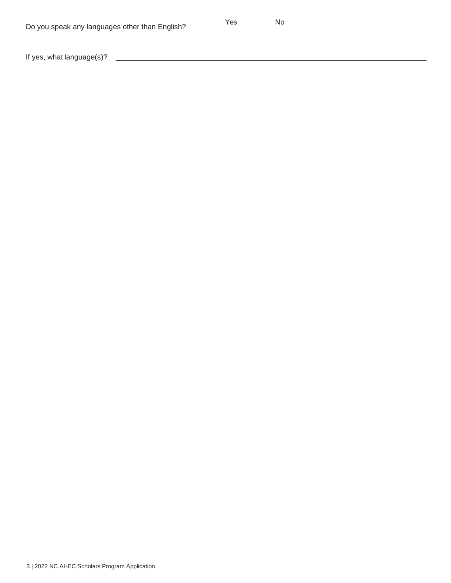If yes, what language(s)?

<u> 1990 - Johann Barnett, mars et al. 1990 - Anna anno 1991.</u>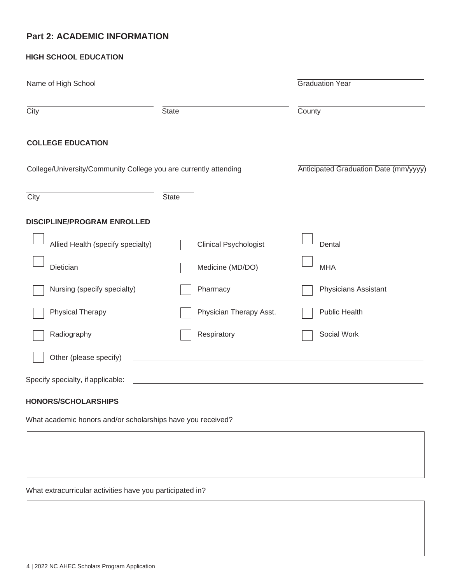#### **Part 2: ACADEMIC INFORMATION**

#### **HIGH SCHOOL EDUCATION**

| Name of High School                                              |                              | <b>Graduation Year</b>                |
|------------------------------------------------------------------|------------------------------|---------------------------------------|
| City                                                             | State                        | County                                |
| <b>COLLEGE EDUCATION</b>                                         |                              |                                       |
| College/University/Community College you are currently attending |                              | Anticipated Graduation Date (mm/yyyy) |
| City                                                             | <b>State</b>                 |                                       |
| <b>DISCIPLINE/PROGRAM ENROLLED</b>                               |                              |                                       |
| Allied Health (specify specialty)                                | <b>Clinical Psychologist</b> | Dental                                |
| Dietician                                                        | Medicine (MD/DO)             | <b>MHA</b>                            |
| Nursing (specify specialty)                                      | Pharmacy                     | Physicians Assistant                  |
| Physical Therapy                                                 | Physician Therapy Asst.      | Public Health                         |
| Radiography                                                      | Respiratory                  | Social Work                           |
| Other (please specify)                                           |                              |                                       |
| Specify specialty, if applicable:                                |                              |                                       |
| <b>HONORS/SCHOLARSHIPS</b>                                       |                              |                                       |

What academic honors and/or scholarships have you received?

What extracurricular activities have you participated in?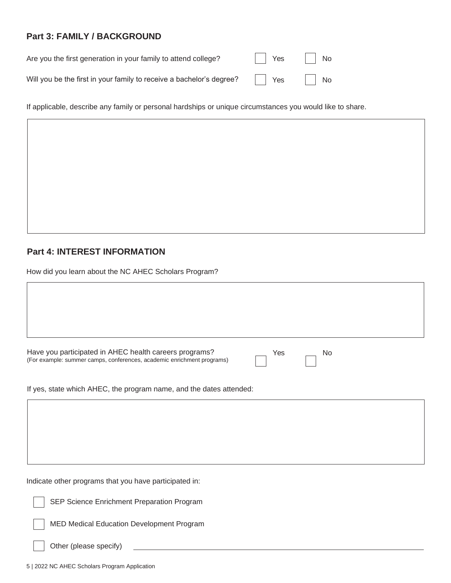## **Part 3: FAMILY / BACKGROUND**

| Are you the first generation in your family to attend college?       | $\vert \vert$ Yes | $\vert$ No |
|----------------------------------------------------------------------|-------------------|------------|
| Will you be the first in your family to receive a bachelor's degree? | <b>Nes</b>        | $\vert$ No |

If applicable, describe any family or personal hardships or unique circumstances you would like to share.

## **Part 4: INTEREST INFORMATION**

 $\sqrt{2}$ 

How did you learn about the NC AHEC Scholars Program?

| Have you participated in AHEC health careers programs?<br>Yes<br>No<br>(For example: summer camps, conferences, academic enrichment programs) |
|-----------------------------------------------------------------------------------------------------------------------------------------------|
| If yes, state which AHEC, the program name, and the dates attended:                                                                           |
| Indicate other programs that you have participated in:<br>SEP Science Enrichment Preparation Program                                          |

MED Medical Education Development Program

| Other (please specify) |  |  |  |
|------------------------|--|--|--|
|------------------------|--|--|--|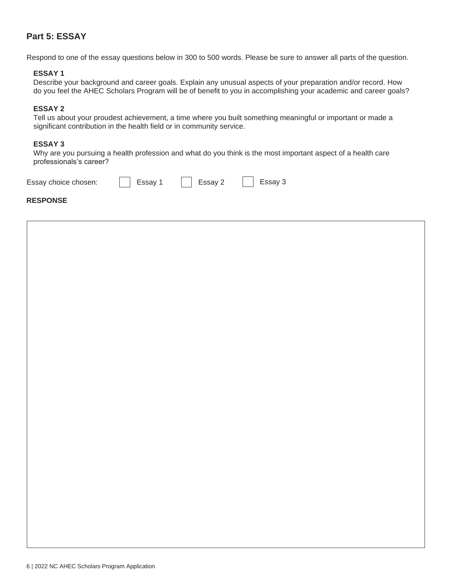#### **Part 5: ESSAY**

Respond to one of the essay questions below in 300 to 500 words. Please be sure to answer all parts of the question.

#### **ESSAY 1**

Describe your background and career goals. Explain any unusual aspects of your preparation and/or record. How do you feel the AHEC Scholars Program will be of benefit to you in accomplishing your academic and career goals?

#### **ESSAY 2**

Tell us about your proudest achievement, a time where you built something meaningful or important or made a significant contribution in the health field or in community service.

#### **ESSAY 3**

Why are you pursuing a health profession and what do you think is the most important aspect of a health care professionals's career?

| Essay choice chosen: | $\vert$ Essay 1 | $\vert$ Essay 2 | $\vert$ Essay 3 |
|----------------------|-----------------|-----------------|-----------------|
| <b>RESPONSE</b>      |                 |                 |                 |